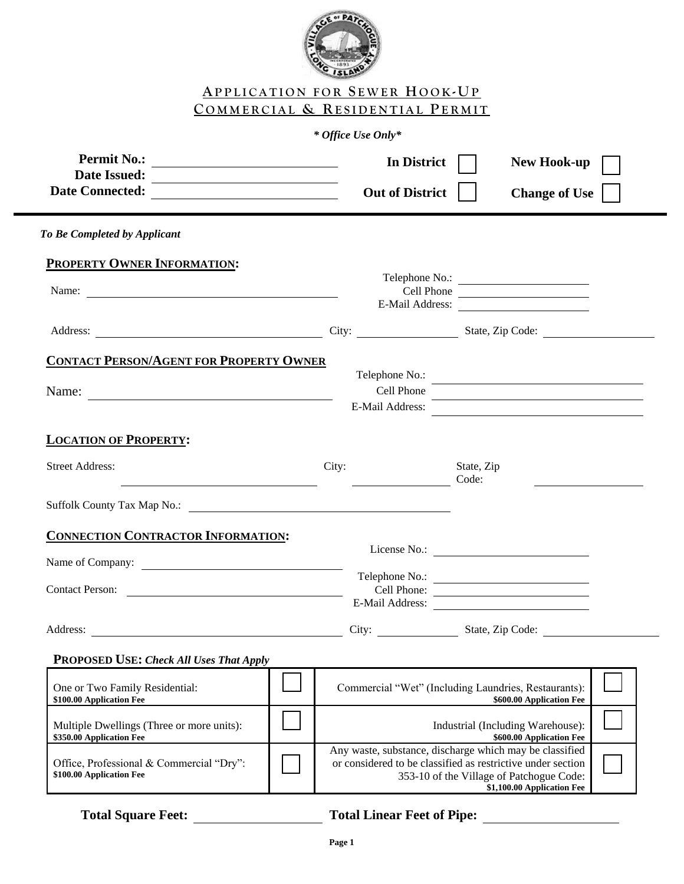

## **AP P L I C A T I O N F O R S E W E R HOOK -UP C O M M E R C I A L & RE S I D E N T I A L PE R M I T**

## *\* Office Use Only\**

| Permit No.:<br><b>Date Issued:</b><br><u> 1989 - Johann Barnett, fransk politiker (d. 1989)</u>                                                                                  |  |       | In District<br><b>Out of District</b>                                                                                  |                     | <b>New Hook-up</b><br><b>Change of Use</b>                                   |  |
|----------------------------------------------------------------------------------------------------------------------------------------------------------------------------------|--|-------|------------------------------------------------------------------------------------------------------------------------|---------------------|------------------------------------------------------------------------------|--|
| To Be Completed by Applicant                                                                                                                                                     |  |       |                                                                                                                        |                     |                                                                              |  |
| <b>PROPERTY OWNER INFORMATION:</b>                                                                                                                                               |  |       |                                                                                                                        |                     |                                                                              |  |
| Name:                                                                                                                                                                            |  |       | Cell Phone                                                                                                             |                     | Telephone No.:<br><u> 1989 - Johann Barbara, martxa alemaniar populari (</u> |  |
|                                                                                                                                                                                  |  |       |                                                                                                                        |                     | E-Mail Address:                                                              |  |
| <b>CONTACT PERSON/AGENT FOR PROPERTY OWNER</b><br>Name:<br><u> 1989 - Jan Sterling von Berling von Berling von Berling von Berling von Berling von Berling von Berling von B</u> |  |       | Telephone No.:<br>Cell Phone                                                                                           |                     |                                                                              |  |
| <b>LOCATION OF PROPERTY:</b>                                                                                                                                                     |  |       | E-Mail Address:                                                                                                        |                     |                                                                              |  |
| <b>Street Address:</b>                                                                                                                                                           |  | City: | <u> 1989 - Johann Stein, fransk konge og det for de forskellige og det for de forskellige og det forskellige og </u>   | State, Zip<br>Code: |                                                                              |  |
|                                                                                                                                                                                  |  |       |                                                                                                                        |                     |                                                                              |  |
| <b>CONNECTION CONTRACTOR INFORMATION:</b>                                                                                                                                        |  |       |                                                                                                                        |                     |                                                                              |  |
| Name of Company:                                                                                                                                                                 |  |       |                                                                                                                        |                     | Telephone No.:                                                               |  |
| Contact Person:                                                                                                                                                                  |  |       | E-Mail Address:                                                                                                        |                     | Cell Phone:                                                                  |  |
|                                                                                                                                                                                  |  |       |                                                                                                                        |                     |                                                                              |  |
| <b>PROPOSED USE: Check All Uses That Apply</b>                                                                                                                                   |  |       |                                                                                                                        |                     |                                                                              |  |
| One or Two Family Residential:<br>\$100.00 Application Fee                                                                                                                       |  |       | Commercial "Wet" (Including Laundries, Restaurants):                                                                   |                     | \$600.00 Application Fee                                                     |  |
| Multiple Dwellings (Three or more units):<br>\$350.00 Application Fee                                                                                                            |  |       |                                                                                                                        |                     | Industrial (Including Warehouse):<br>\$600.00 Application Fee                |  |
| Office, Professional & Commercial "Dry":<br>\$100.00 Application Fee                                                                                                             |  |       | Any waste, substance, discharge which may be classified<br>or considered to be classified as restrictive under section |                     | 353-10 of the Village of Patchogue Code:<br>\$1,100.00 Application Fee       |  |

## **Total Square Feet: Total Linear Feet of Pipe:**